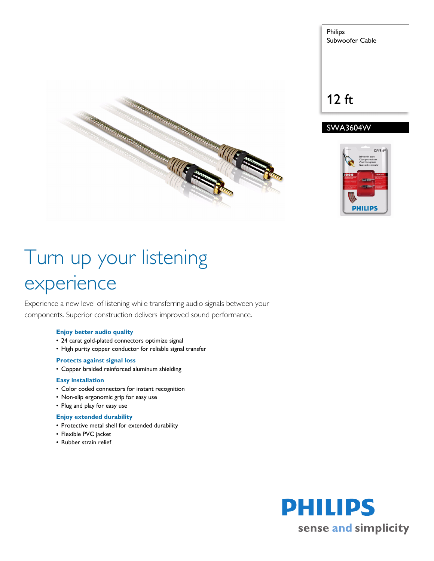



12 ft

## SWA3604W



# Turn up your listening experience

Experience a new level of listening while transferring audio signals between your components. Superior construction delivers improved sound performance.

## **Enjoy better audio quality**

- 24 carat gold-plated connectors optimize signal
- High purity copper conductor for reliable signal transfer

## **Protects against signal loss**

• Copper braided reinforced aluminum shielding

## **Easy installation**

- Color coded connectors for instant recognition
- Non-slip ergonomic grip for easy use
- Plug and play for easy use

## **Enjoy extended durability**

- Protective metal shell for extended durability
- Flexible PVC jacket
- Rubber strain relief